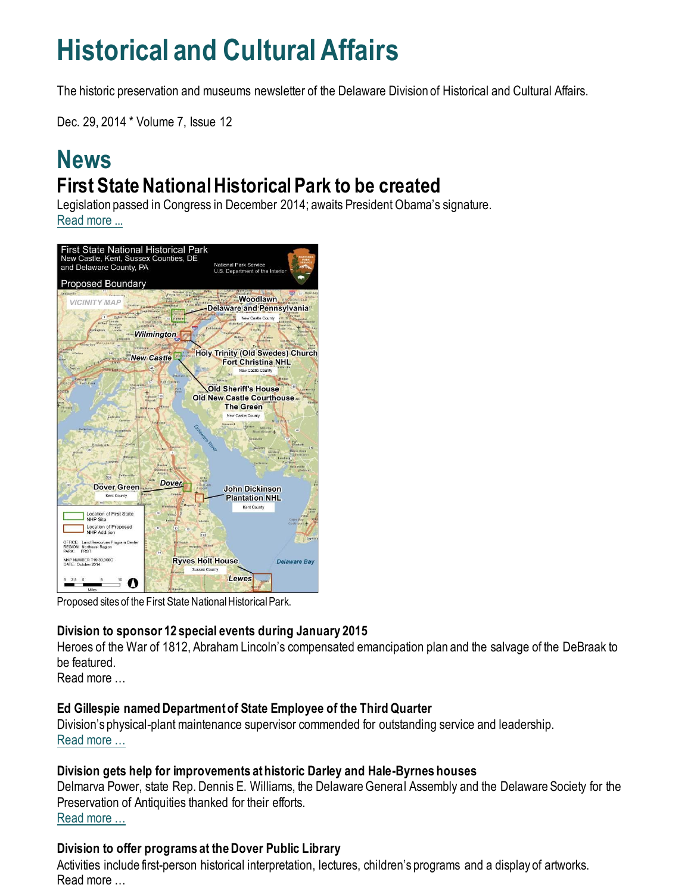## **Historical and Cultural Affairs**

The historic preservation and museums newsletter of the Delaware Division of Historical and Cultural Affairs.

Dec. 29, 2014 \* Volume 7, Issue 12

## **News First State National Historical Park to be created**

Legislation passed in Congress in December 2014; awaits President Obama's signature. [Read more ...](https://history.delaware.gov/2014/12/19/first-state-national-historical-park-to-be-created/)



Proposed sites of the First State National Historical Park.

#### **Division to sponsor 12 special events during January 2015**

Heroes of the War of 1812, Abraham Lincoln's compensated emancipation plan and the salvage of the DeBraak to be featured.

Read more …

#### **Ed Gillespie named Department of State Employee of the Third Quarter**

Division's physical-plant maintenance supervisor commended for outstanding service and leadership. [Read more …](https://history.delaware.gov/2014/12/17/ed-gillespie-named-department-of-state-employee-of-the-third-quarter/)

#### **Division gets help for improvements at historic Darley and Hale-Byrnes houses**

Delmarva Power, state Rep. Dennis E. Williams, the Delaware General Assembly and the Delaware Society for the Preservation of Antiquities thanked for their efforts. [Read more …](https://history.delaware.gov/2014/12/18/division-gets-help-for-improvements-at-historic-darley-and-hale-byrnes-houses/)

#### **Division to offer programs at the Dover Public Library**

Activities include first-person historical interpretation, lectures, children's programs and a display of artworks. Read more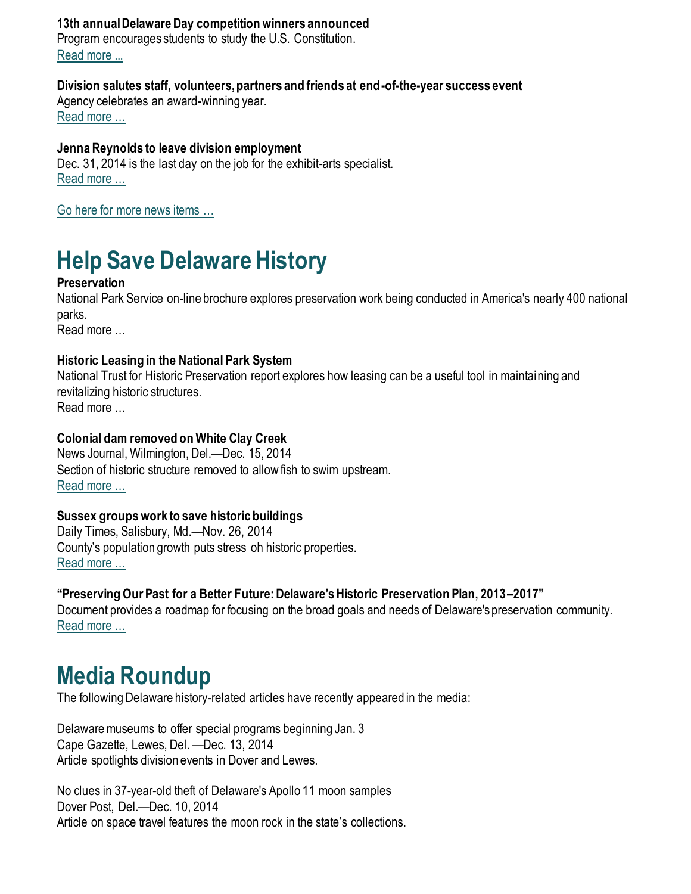#### **13th annual Delaware Day competition winners announced**

Program encourages students to study the U.S. Constitution. [Read more ...](https://history.delaware.gov/2014/12/10/13th-annual-delaware-day-competition-winners-announced/)

#### **Division salutes staff, volunteers, partners and friends at end-of-the-year success event**

Agency celebrates an award-winning year. [Read more …](https://history.delaware.gov/2014/12/18/division-salutes-staff-volunteers-partners-and-friends-at-end-of-the-year-success-event/)

#### **Jenna Reynolds to leave division employment**

Dec. 31, 2014 is the last day on the job for the exhibit-arts specialist. [Read more …](https://history.delaware.gov/2014/12/17/jenna-reynolds-to-leave-division-employment/)

[Go here for more news items …](http://history.blogs.delaware.gov/)

## **Help Save Delaware History**

#### **Preservation**

National Park Service on-line brochure explores preservation work being conducted in America's nearly 400 national parks.

Read more …

#### **Historic Leasing in the National Park System**

National Trust for Historic Preservation report explores how leasing can be a useful tool in maintaining and revitalizing historic structures. Read more …

#### **Colonial dam removed on White Clay Creek**

News Journal, Wilmington, Del.—Dec. 15, 2014 Section of historic structure removed to allow fish to swim upstream. [Read more …](https://www.delawareonline.com/story/news/local/2014/12/13/colonial-dam-removed-white-clay-creek/20371571/)

#### **Sussex groups work to save historic buildings**

Daily Times, Salisbury, Md.—Nov. 26, 2014 County's population growth puts stress oh historic properties. [Read more …](https://www.delmarvanow.com/story/news/local/delaware/2014/11/26/sussex-groups-work-save-historic-buildings/19537545/)

#### **"Preserving Our Past for a Better Future: Delaware's Historic Preservation Plan, 2013–2017"**

Document provides a roadmap for focusing on the broad goals and needs of Delaware's preservation community. [Read more …](https://history.delaware.gov/wp-content/uploads/sites/179/2019/02/Preservation-Plan-2013-2017.pdf)

### **Media Roundup**

The following Delaware history-related articles have recently appeared in the media:

Delaware museums to offer special programs beginning Jan. 3 Cape Gazette, Lewes, Del. —Dec. 13, 2014 Article spotlights division events in Dover and Lewes.

No clues in 37-year-old theft of Delaware's Apollo 11 moon samples Dover Post, Del.—Dec. 10, 2014 Article on space travel features the moon rock in the state's collections.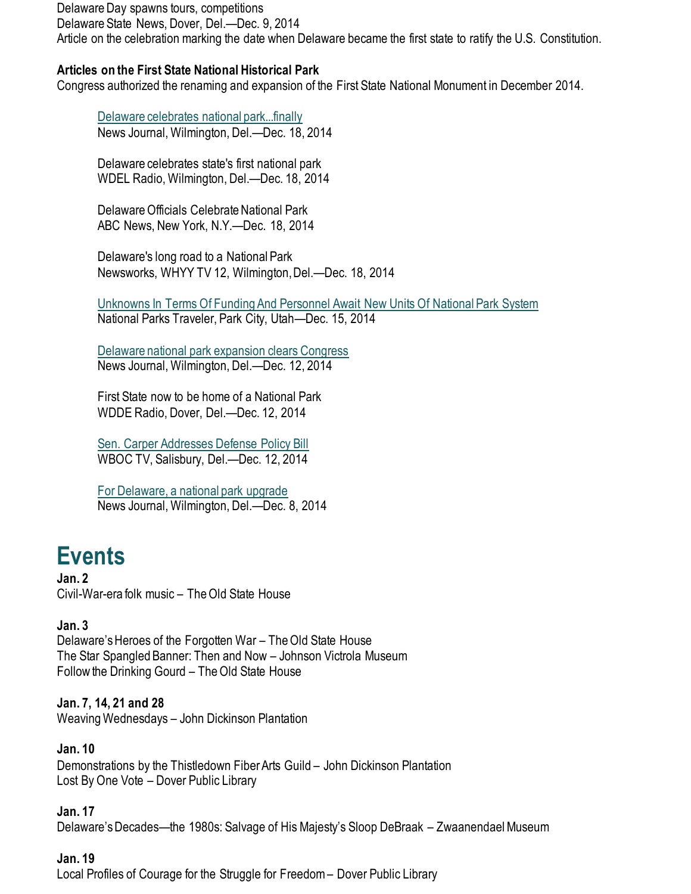Delaware Day spawns tours, competitions

Delaware State News, Dover, Del.—Dec. 9, 2014

Article on the celebration marking the date when Delaware became the first state to ratify the U.S. Constitution.

#### **Articles on the First State National Historical Park**

Congress authorized the renaming and expansion of the First State National Monument in December 2014.

[Delaware celebrates national park...finally](https://www.delawareonline.com/story/news/local/2014/12/18/delaware-celebrates-national-parkfinally/20618839/) News Journal, Wilmington, Del.—Dec. 18, 2014

Delaware celebrates state's first national park WDEL Radio, Wilmington, Del.—Dec. 18, 2014

Delaware Officials Celebrate National Park ABC News, New York, N.Y.—Dec. 18, 2014

Delaware's long road to a National Park Newsworks, WHYY TV 12, Wilmington, Del.—Dec. 18, 2014

[Unknowns In Terms Of Funding And Personnel Await](https://www.nationalparkstraveler.org/2014/12/unknowns-terms-funding-and-personnel-await-new-units-national-park-system26038) New Units Of National Park System National Parks Traveler, Park City, Utah—Dec. 15, 2014

[Delaware national park expansion clears Congress](https://www.delawareonline.com/story/news/local/2014/12/12/delaware-national-park-expansion-clears-congress/20325941/) News Journal, Wilmington, Del.—Dec. 12, 2014

First State now to be home of a National Park WDDE Radio, Dover, Del.—Dec. 12, 2014

[Sen. Carper Addresses Defense Policy Bill](https://www.wboc.com/archive/sen-carper-addresses-defense-policy-bill/article_b6eb96b7-06ad-57f6-a024-dd9d52a331ca.html) WBOC TV, Salisbury, Del.—Dec. 12, 2014

[For Delaware, a national park upgrade](https://www.delawareonline.com/story/news/local/2014/12/08/delaware-national-park-upgrade/20121981/) News Journal, Wilmington, Del.—Dec. 8, 2014

## **Events**

**Jan. 2** Civil-War-era folk music – The Old State House

#### **Jan. 3**

Delaware's Heroes of the Forgotten War – The Old State House The Star Spangled Banner: Then and Now – Johnson Victrola Museum Follow the Drinking Gourd – The Old State House

**Jan. 7, 14, 21 and 28** Weaving Wednesdays – John Dickinson Plantation

**Jan. 10** Demonstrations by the Thistledown Fiber Arts Guild – John Dickinson Plantation Lost By One Vote – Dover Public Library

**Jan. 17** Delaware's Decades—the 1980s: Salvage of His Majesty's Sloop DeBraak – Zwaanendael Museum

#### **Jan. 19**

Local Profiles of Courage for the Struggle for Freedom – Dover Public Library